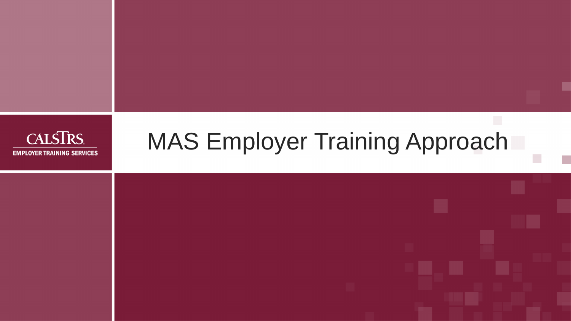

# MAS Employer Training Approach

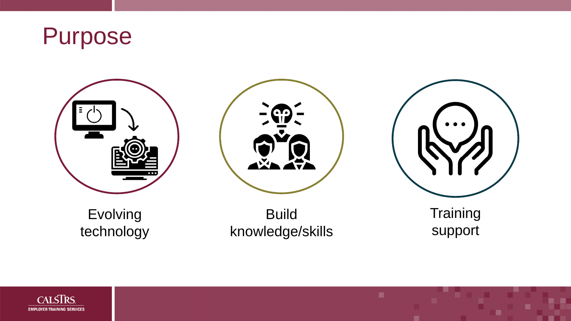





### Evolving technology

### **Build** knowledge/skills





### **Training** support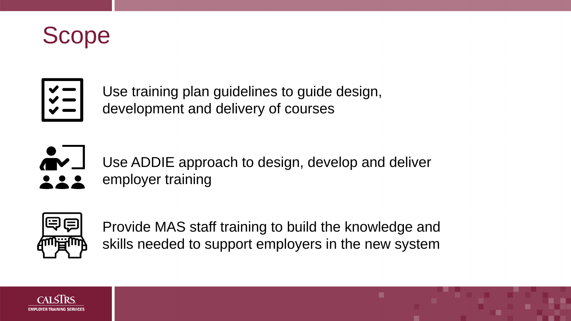



Use training plan guidelines to guide design, development and delivery of courses



Use ADDIE approach to design, develop and deliver employer training



Provide MAS staff training to build the knowledge and skills needed to support employers in the new system

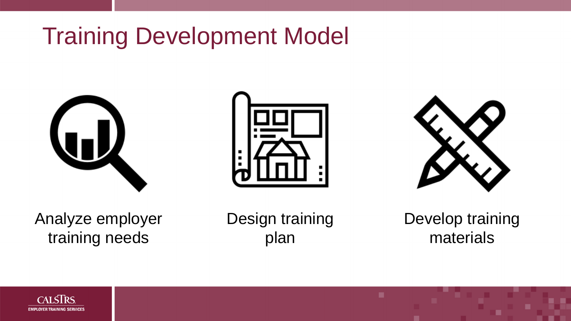# Training Development Model





Analyze employer training needs

Design training plan





### Develop training materials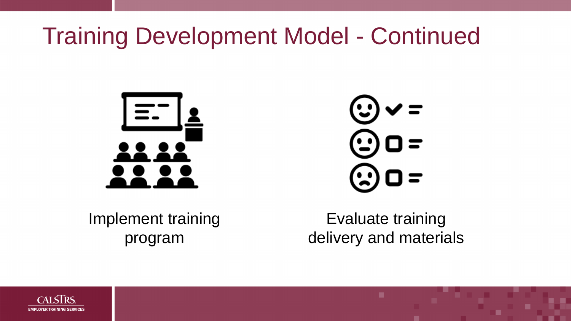# Training Development Model - Continued





Implement training program

Evaluate training delivery and materials

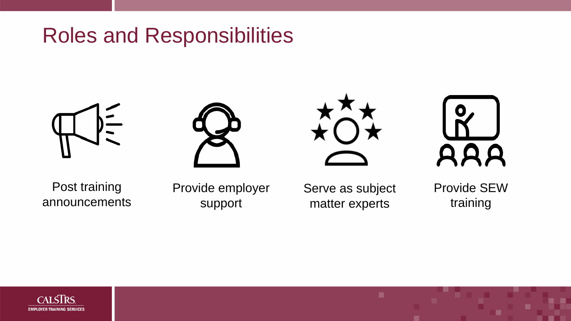### Roles and Responsibilities







Post training announcements

Provide employer support

Serve as subject matter experts



# AAA

### Provide SEW training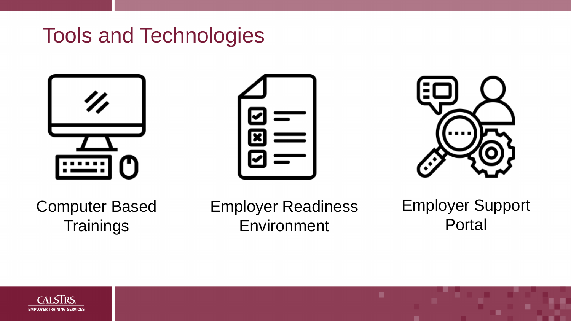### Tools and Technologies

### Computer Based **Trainings**





Employer Readiness Environment





### Employer Support Portal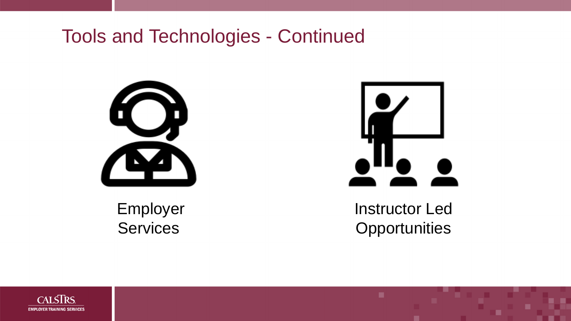### Tools and Technologies - Continued





### Instructor Led **Opportunities**

Employer Services

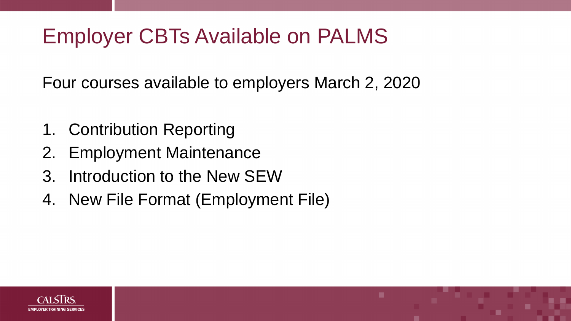# Employer CBTs Available on PALMS

Four courses available to employers March 2, 2020

- 1. Contribution Reporting
- 2. Employment Maintenance
- 3. Introduction to the New SEW
- 4. New File Format (Employment File)

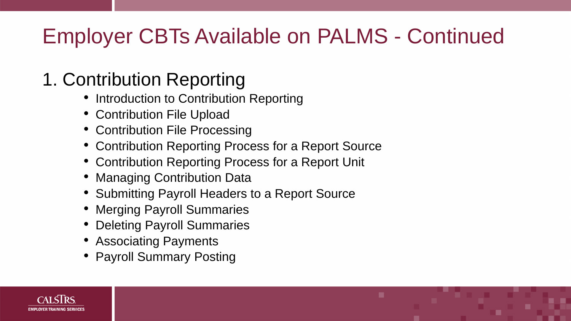# Employer CBTs Available on PALMS - Continued

### 1. Contribution Reporting

- Introduction to Contribution Reporting
- Contribution File Upload
- Contribution File Processing
- Contribution Reporting Process for a Report Source
- Contribution Reporting Process for a Report Unit
- Managing Contribution Data
- Submitting Payroll Headers to a Report Source
- Merging Payroll Summaries
- Deleting Payroll Summaries
- Associating Payments
- Payroll Summary Posting

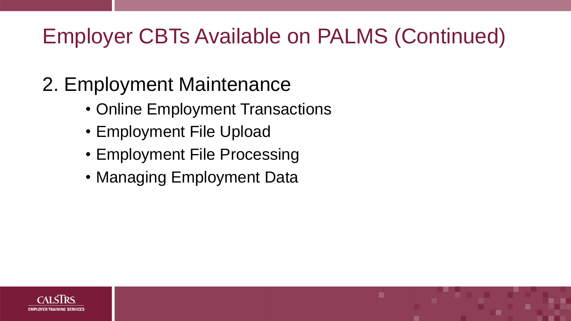# Employer CBTs Available on PALMS (Continued)

# 2. Employment Maintenance

- Online Employment Transactions
- Employment File Upload
- Employment File Processing
- Managing Employment Data

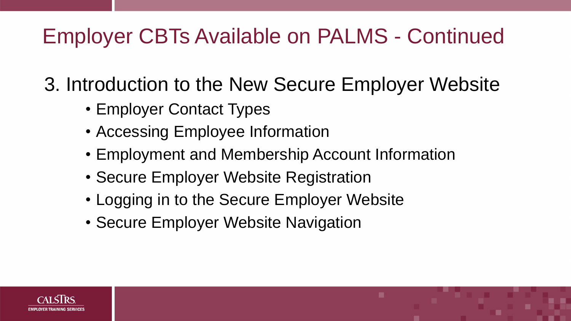# Employer CBTs Available on PALMS - Continued

3. Introduction to the New Secure Employer Website

- Employer Contact Types
- Accessing Employee Information
- Employment and Membership Account Information
- Secure Employer Website Registration
- Logging in to the Secure Employer Website
- Secure Employer Website Navigation

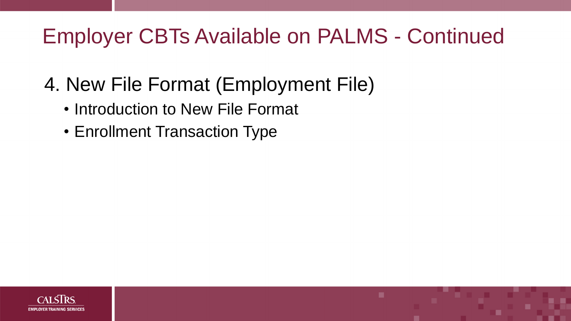# Employer CBTs Available on PALMS - Continued

# 4. New File Format (Employment File)

- Introduction to New File Format
- Enrollment Transaction Type

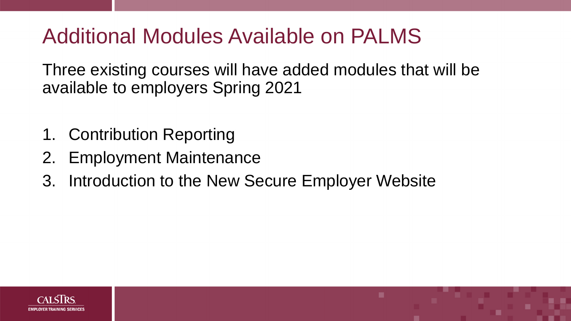### Additional Modules Available on PALMS

Three existing courses will have added modules that will be available to employers Spring 2021

- 1. Contribution Reporting
- 2. Employment Maintenance
- 3. Introduction to the New Secure Employer Website



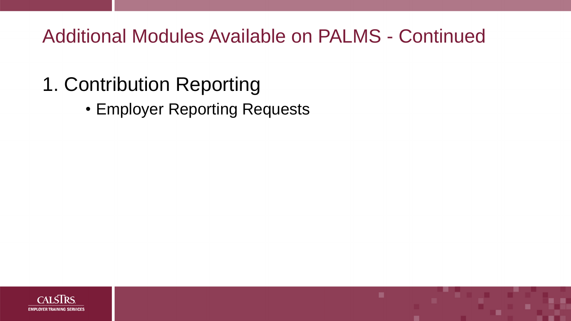### Additional Modules Available on PALMS - Continued

# 1. Contribution Reporting

• Employer Reporting Requests

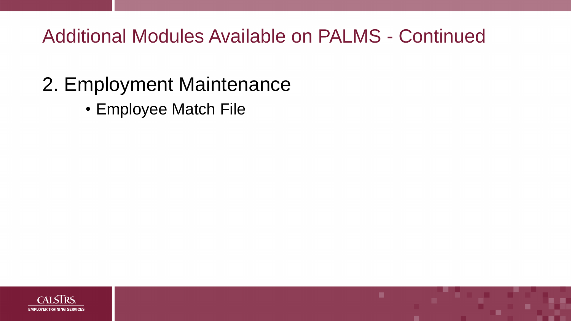Additional Modules Available on PALMS - Continued

### 2. Employment Maintenance

• Employee Match File

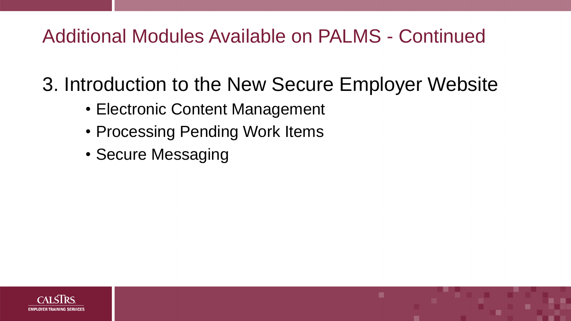### Additional Modules Available on PALMS - Continued

3. Introduction to the New Secure Employer Website

- Electronic Content Management
- Processing Pending Work Items
- Secure Messaging

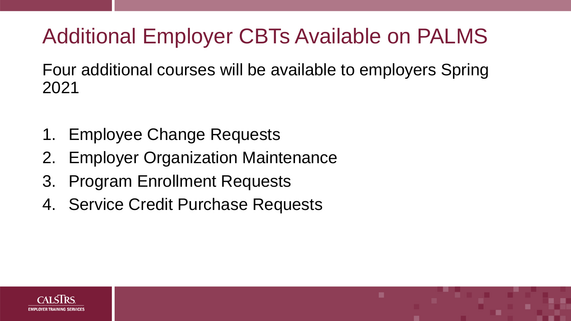# Additional Employer CBTs Available on PALMS

Four additional courses will be available to employers Spring 2021

- 1. Employee Change Requests
- 2. Employer Organization Maintenance
- 3. Program Enrollment Requests
- 4. Service Credit Purchase Requests



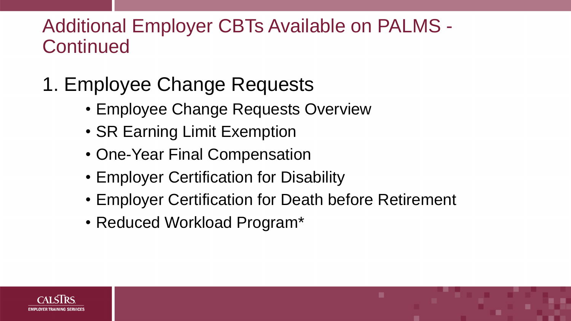# 1. Employee Change Requests

- Employee Change Requests Overview
- SR Earning Limit Exemption
- One-Year Final Compensation
- Employer Certification for Disability
- Employer Certification for Death before Retirement
- Reduced Workload Program\*



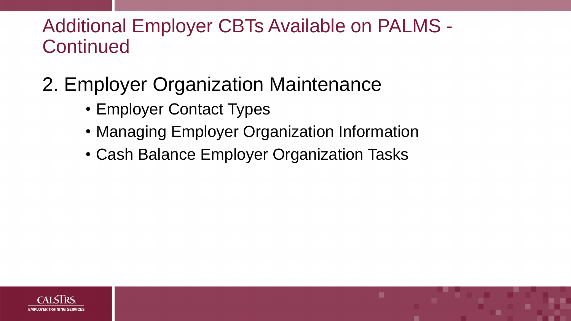# 2. Employer Organization Maintenance

- Employer Contact Types
- Managing Employer Organization Information
- Cash Balance Employer Organization Tasks



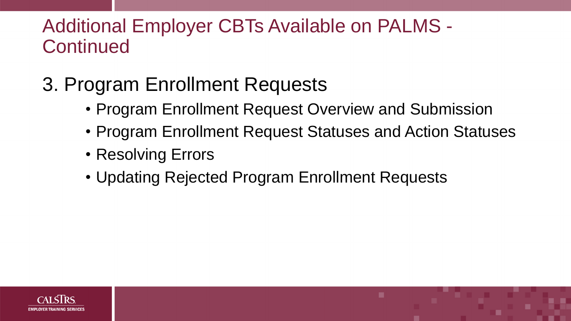# 3. Program Enrollment Requests

- Program Enrollment Request Overview and Submission
- Program Enrollment Request Statuses and Action Statuses
- Resolving Errors
- Updating Rejected Program Enrollment Requests



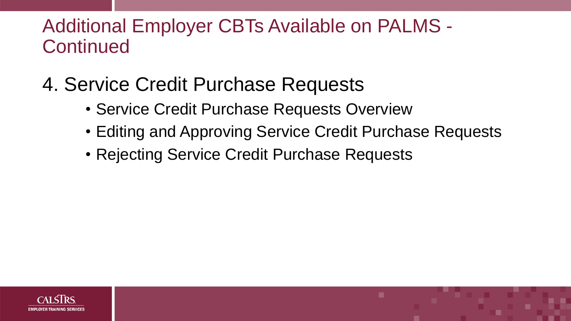### 4. Service Credit Purchase Requests

- Service Credit Purchase Requests Overview
- Editing and Approving Service Credit Purchase Requests
- Rejecting Service Credit Purchase Requests



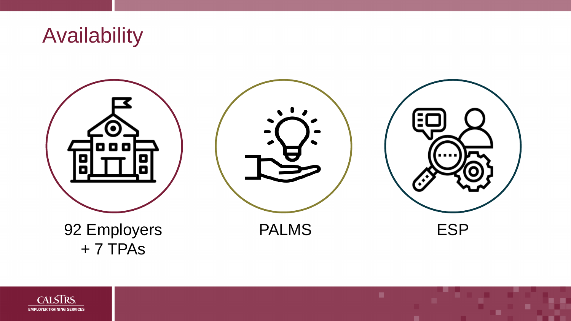### Availability





### 92 Employers + 7 TPAs

PALMS ESP



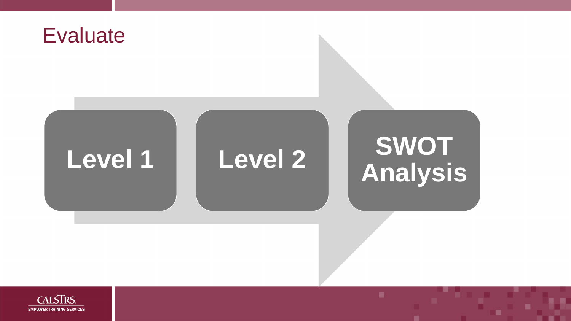![](_page_23_Picture_0.jpeg)

# **Level 1 Level 2 SWOT**

![](_page_23_Picture_4.jpeg)

# **Analysis**